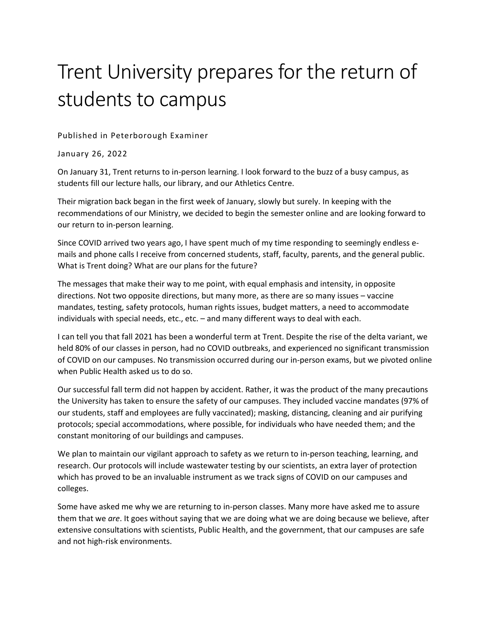## Trent University prepares for the return of students to campus

Published in Peterborough Examiner

January 26, 2022

On January 31, Trent returns to in-person learning. I look forward to the buzz of a busy campus, as students fill our lecture halls, our library, and our Athletics Centre.

Their migration back began in the first week of January, slowly but surely. In keeping with the recommendations of our Ministry, we decided to begin the semester online and are looking forward to our return to in-person learning.

Since COVID arrived two years ago, I have spent much of my time responding to seemingly endless emails and phone calls I receive from concerned students, staff, faculty, parents, and the general public. What is Trent doing? What are our plans for the future?

The messages that make their way to me point, with equal emphasis and intensity, in opposite directions. Not two opposite directions, but many more, as there are so many issues – vaccine mandates, testing, safety protocols, human rights issues, budget matters, a need to accommodate individuals with special needs, etc., etc. – and many different ways to deal with each.

I can tell you that fall 2021 has been a wonderful term at Trent. Despite the rise of the delta variant, we held 80% of our classes in person, had no COVID outbreaks, and experienced no significant transmission of COVID on our campuses. No transmission occurred during our in-person exams, but we pivoted online when Public Health asked us to do so.

Our successful fall term did not happen by accident. Rather, it was the product of the many precautions the University has taken to ensure the safety of our campuses. They included vaccine mandates (97% of our students, staff and employees are fully vaccinated); masking, distancing, cleaning and air purifying protocols; special accommodations, where possible, for individuals who have needed them; and the constant monitoring of our buildings and campuses.

We plan to maintain our vigilant approach to safety as we return to in-person teaching, learning, and research. Our protocols will include wastewater testing by our scientists, an extra layer of protection which has proved to be an invaluable instrument as we track signs of COVID on our campuses and colleges.

Some have asked me why we are returning to in-person classes. Many more have asked me to assure them that we *are*. It goes without saying that we are doing what we are doing because we believe, after extensive consultations with scientists, Public Health, and the government, that our campuses are safe and not high-risk environments.